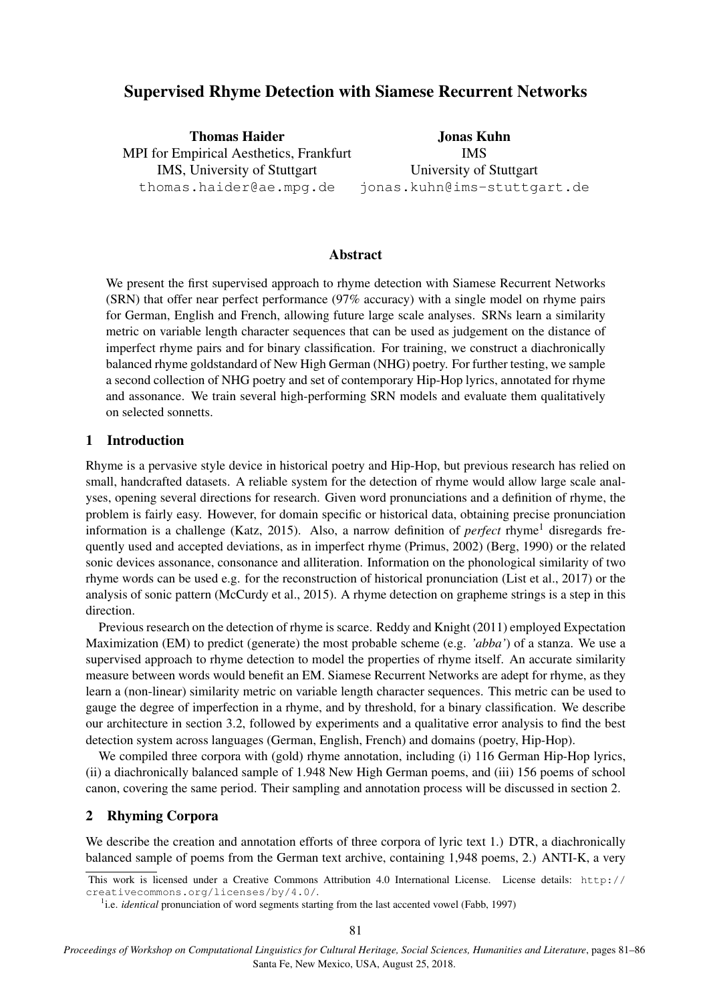# Supervised Rhyme Detection with Siamese Recurrent Networks

Thomas Haider MPI for Empirical Aesthetics, Frankfurt IMS, University of Stuttgart thomas.haider@ae.mpg.de

Jonas Kuhn IMS University of Stuttgart jonas.kuhn@ims-stuttgart.de

## Abstract

We present the first supervised approach to rhyme detection with Siamese Recurrent Networks (SRN) that offer near perfect performance (97% accuracy) with a single model on rhyme pairs for German, English and French, allowing future large scale analyses. SRNs learn a similarity metric on variable length character sequences that can be used as judgement on the distance of imperfect rhyme pairs and for binary classification. For training, we construct a diachronically balanced rhyme goldstandard of New High German (NHG) poetry. For further testing, we sample a second collection of NHG poetry and set of contemporary Hip-Hop lyrics, annotated for rhyme and assonance. We train several high-performing SRN models and evaluate them qualitatively on selected sonnetts.

### 1 Introduction

Rhyme is a pervasive style device in historical poetry and Hip-Hop, but previous research has relied on small, handcrafted datasets. A reliable system for the detection of rhyme would allow large scale analyses, opening several directions for research. Given word pronunciations and a definition of rhyme, the problem is fairly easy. However, for domain specific or historical data, obtaining precise pronunciation information is a challenge (Katz, 2015). Also, a narrow definition of *perfect* rhyme<sup>1</sup> disregards frequently used and accepted deviations, as in imperfect rhyme (Primus, 2002) (Berg, 1990) or the related sonic devices assonance, consonance and alliteration. Information on the phonological similarity of two rhyme words can be used e.g. for the reconstruction of historical pronunciation (List et al., 2017) or the analysis of sonic pattern (McCurdy et al., 2015). A rhyme detection on grapheme strings is a step in this direction.

Previous research on the detection of rhyme is scarce. Reddy and Knight (2011) employed Expectation Maximization (EM) to predict (generate) the most probable scheme (e.g. *'abba'*) of a stanza. We use a supervised approach to rhyme detection to model the properties of rhyme itself. An accurate similarity measure between words would benefit an EM. Siamese Recurrent Networks are adept for rhyme, as they learn a (non-linear) similarity metric on variable length character sequences. This metric can be used to gauge the degree of imperfection in a rhyme, and by threshold, for a binary classification. We describe our architecture in section 3.2, followed by experiments and a qualitative error analysis to find the best detection system across languages (German, English, French) and domains (poetry, Hip-Hop).

We compiled three corpora with (gold) rhyme annotation, including (i) 116 German Hip-Hop lyrics, (ii) a diachronically balanced sample of 1.948 New High German poems, and (iii) 156 poems of school canon, covering the same period. Their sampling and annotation process will be discussed in section 2.

### 2 Rhyming Corpora

We describe the creation and annotation efforts of three corpora of lyric text 1.) DTR, a diachronically balanced sample of poems from the German text archive, containing 1,948 poems, 2.) ANTI-K, a very

This work is licensed under a Creative Commons Attribution 4.0 International License. License details: http:// creativecommons.org/licenses/by/4.0/.

<sup>&</sup>lt;sup>1</sup>i.e. *identical* pronunciation of word segments starting from the last accented vowel (Fabb, 1997)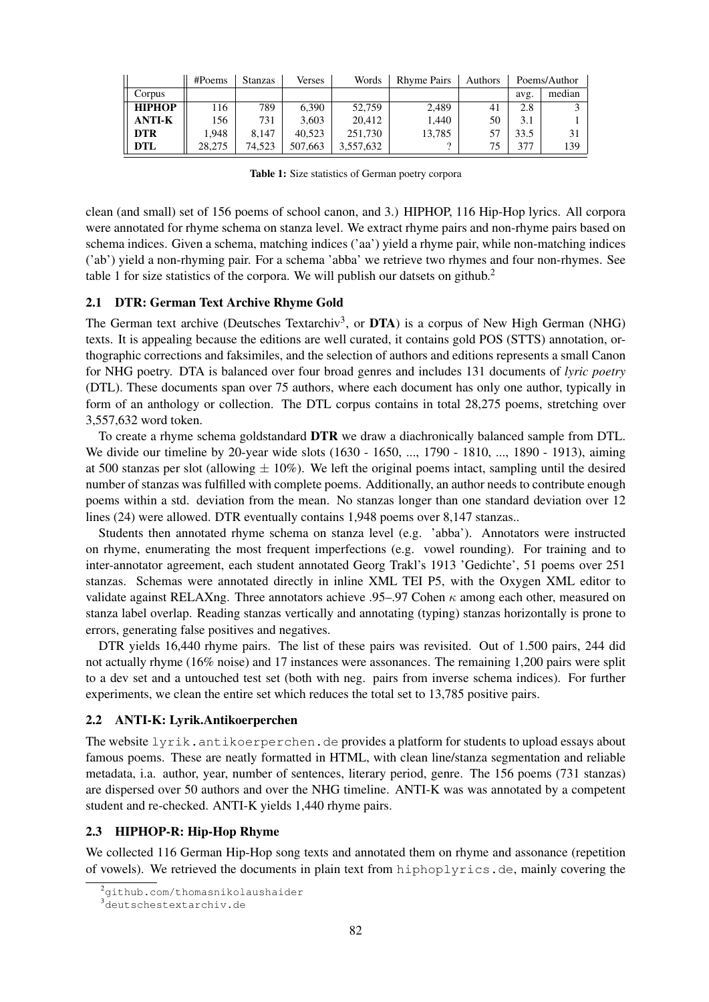|               | #Poems | <b>Stanzas</b> | Verses  | Words     | <b>Rhyme Pairs</b> | Authors |      | Poems/Author |
|---------------|--------|----------------|---------|-----------|--------------------|---------|------|--------------|
| Corpus        |        |                |         |           |                    |         | avg. | median       |
| <b>HIPHOP</b> | 116    | 789            | 6.390   | 52,759    | 2.489              | 41      | 2.8  |              |
| <b>ANTI-K</b> | 156    | 731            | 3.603   | 20.412    | 1.440              | 50      | 3.1  |              |
| <b>DTR</b>    | 1.948  | 8.147          | 40.523  | 251,730   | 13.785             | 57      | 33.5 |              |
| <b>DTL</b>    | 28.275 | 74.523         | 507,663 | 3.557.632 |                    | 75      | 377  | 139          |

Table 1: Size statistics of German poetry corpora

clean (and small) set of 156 poems of school canon, and 3.) HIPHOP, 116 Hip-Hop lyrics. All corpora were annotated for rhyme schema on stanza level. We extract rhyme pairs and non-rhyme pairs based on schema indices. Given a schema, matching indices ('aa') yield a rhyme pair, while non-matching indices ('ab') yield a non-rhyming pair. For a schema 'abba' we retrieve two rhymes and four non-rhymes. See table 1 for size statistics of the corpora. We will publish our datsets on github.<sup>2</sup>

#### 2.1 DTR: German Text Archive Rhyme Gold

The German text archive (Deutsches Textarchiv<sup>3</sup>, or DTA) is a corpus of New High German (NHG) texts. It is appealing because the editions are well curated, it contains gold POS (STTS) annotation, orthographic corrections and faksimiles, and the selection of authors and editions represents a small Canon for NHG poetry. DTA is balanced over four broad genres and includes 131 documents of *lyric poetry* (DTL). These documents span over 75 authors, where each document has only one author, typically in form of an anthology or collection. The DTL corpus contains in total 28,275 poems, stretching over 3,557,632 word token.

To create a rhyme schema goldstandard DTR we draw a diachronically balanced sample from DTL. We divide our timeline by 20-year wide slots (1630 - 1650, ..., 1790 - 1810, ..., 1890 - 1913), aiming at 500 stanzas per slot (allowing  $\pm 10\%$ ). We left the original poems intact, sampling until the desired number of stanzas was fulfilled with complete poems. Additionally, an author needs to contribute enough poems within a std. deviation from the mean. No stanzas longer than one standard deviation over 12 lines (24) were allowed. DTR eventually contains 1,948 poems over 8,147 stanzas..

Students then annotated rhyme schema on stanza level (e.g. 'abba'). Annotators were instructed on rhyme, enumerating the most frequent imperfections (e.g. vowel rounding). For training and to inter-annotator agreement, each student annotated Georg Trakl's 1913 'Gedichte', 51 poems over 251 stanzas. Schemas were annotated directly in inline XML TEI P5, with the Oxygen XML editor to validate against RELAXng. Three annotators achieve .95–.97 Cohen  $\kappa$  among each other, measured on stanza label overlap. Reading stanzas vertically and annotating (typing) stanzas horizontally is prone to errors, generating false positives and negatives.

DTR yields 16,440 rhyme pairs. The list of these pairs was revisited. Out of 1.500 pairs, 244 did not actually rhyme (16% noise) and 17 instances were assonances. The remaining 1,200 pairs were split to a dev set and a untouched test set (both with neg. pairs from inverse schema indices). For further experiments, we clean the entire set which reduces the total set to 13,785 positive pairs.

#### 2.2 ANTI-K: Lyrik.Antikoerperchen

The website lyrik.antikoerperchen.de provides a platform for students to upload essays about famous poems. These are neatly formatted in HTML, with clean line/stanza segmentation and reliable metadata, i.a. author, year, number of sentences, literary period, genre. The 156 poems (731 stanzas) are dispersed over 50 authors and over the NHG timeline. ANTI-K was was annotated by a competent student and re-checked. ANTI-K yields 1,440 rhyme pairs.

### 2.3 HIPHOP-R: Hip-Hop Rhyme

We collected 116 German Hip-Hop song texts and annotated them on rhyme and assonance (repetition of vowels). We retrieved the documents in plain text from hiphoplyrics.de, mainly covering the

<sup>2</sup>github.com/thomasnikolaushaider

<sup>3</sup>deutschestextarchiv.de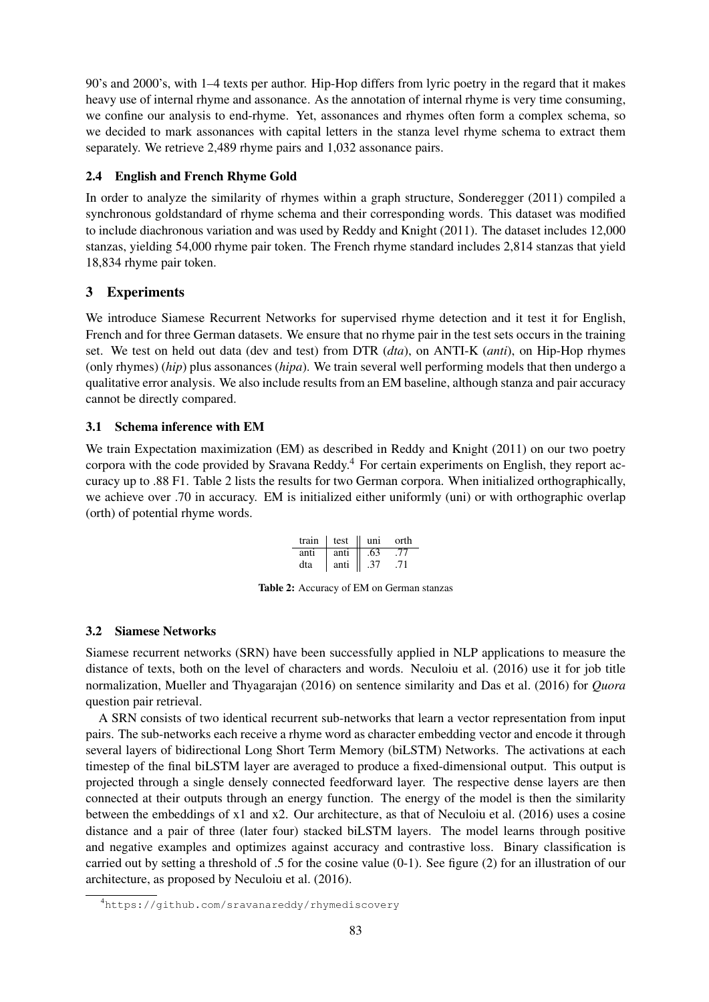90's and 2000's, with 1–4 texts per author. Hip-Hop differs from lyric poetry in the regard that it makes heavy use of internal rhyme and assonance. As the annotation of internal rhyme is very time consuming, we confine our analysis to end-rhyme. Yet, assonances and rhymes often form a complex schema, so we decided to mark assonances with capital letters in the stanza level rhyme schema to extract them separately. We retrieve 2,489 rhyme pairs and 1,032 assonance pairs.

## 2.4 English and French Rhyme Gold

In order to analyze the similarity of rhymes within a graph structure, Sonderegger (2011) compiled a synchronous goldstandard of rhyme schema and their corresponding words. This dataset was modified to include diachronous variation and was used by Reddy and Knight (2011). The dataset includes 12,000 stanzas, yielding 54,000 rhyme pair token. The French rhyme standard includes 2,814 stanzas that yield 18,834 rhyme pair token.

# 3 Experiments

We introduce Siamese Recurrent Networks for supervised rhyme detection and it test it for English, French and for three German datasets. We ensure that no rhyme pair in the test sets occurs in the training set. We test on held out data (dev and test) from DTR (*dta*), on ANTI-K (*anti*), on Hip-Hop rhymes (only rhymes) (*hip*) plus assonances (*hipa*). We train several well performing models that then undergo a qualitative error analysis. We also include results from an EM baseline, although stanza and pair accuracy cannot be directly compared.

# 3.1 Schema inference with EM

We train Expectation maximization (EM) as described in Reddy and Knight (2011) on our two poetry corpora with the code provided by Sravana Reddy.<sup>4</sup> For certain experiments on English, they report accuracy up to .88 F1. Table 2 lists the results for two German corpora. When initialized orthographically, we achieve over .70 in accuracy. EM is initialized either uniformly (uni) or with orthographic overlap (orth) of potential rhyme words.

| train | test | -uni | orth |
|-------|------|------|------|
| anti  | anti | .63  | -77  |
| dta   | anti | .37  | 71   |

Table 2: Accuracy of EM on German stanzas

# 3.2 Siamese Networks

Siamese recurrent networks (SRN) have been successfully applied in NLP applications to measure the distance of texts, both on the level of characters and words. Neculoiu et al. (2016) use it for job title normalization, Mueller and Thyagarajan (2016) on sentence similarity and Das et al. (2016) for *Quora* question pair retrieval.

A SRN consists of two identical recurrent sub-networks that learn a vector representation from input pairs. The sub-networks each receive a rhyme word as character embedding vector and encode it through several layers of bidirectional Long Short Term Memory (biLSTM) Networks. The activations at each timestep of the final biLSTM layer are averaged to produce a fixed-dimensional output. This output is projected through a single densely connected feedforward layer. The respective dense layers are then connected at their outputs through an energy function. The energy of the model is then the similarity between the embeddings of x1 and x2. Our architecture, as that of Neculoiu et al. (2016) uses a cosine distance and a pair of three (later four) stacked biLSTM layers. The model learns through positive and negative examples and optimizes against accuracy and contrastive loss. Binary classification is carried out by setting a threshold of .5 for the cosine value (0-1). See figure (2) for an illustration of our architecture, as proposed by Neculoiu et al. (2016).

<sup>4</sup>https://github.com/sravanareddy/rhymediscovery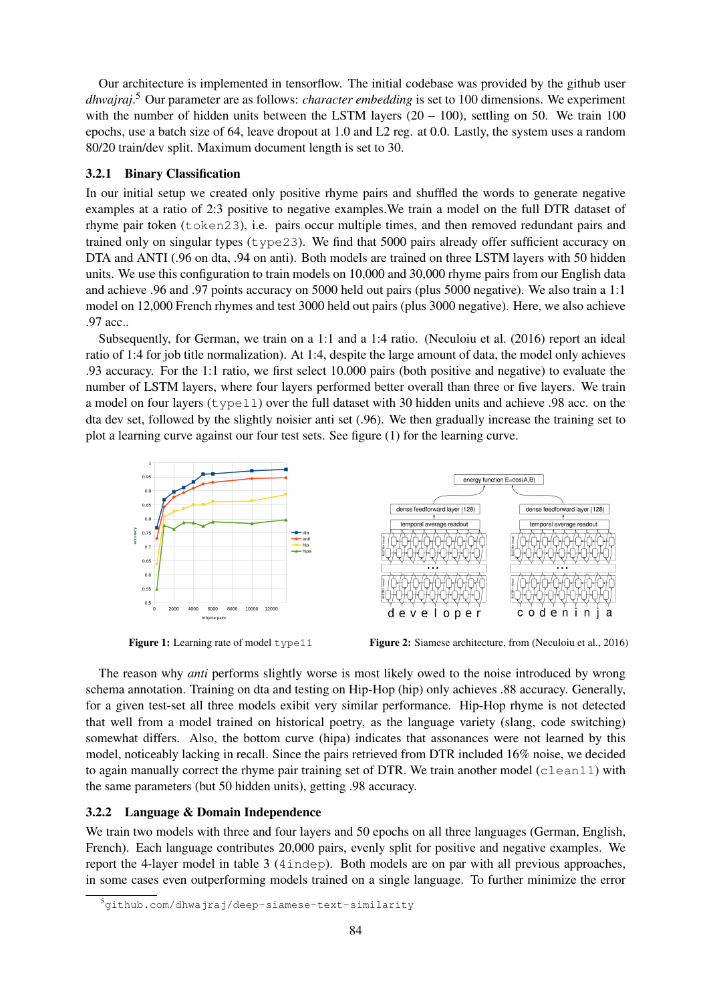Our architecture is implemented in tensorflow. The initial codebase was provided by the github user *dhwajraj*. <sup>5</sup> Our parameter are as follows: *character embedding* is set to 100 dimensions. We experiment with the number of hidden units between the LSTM layers  $(20 - 100)$ , settling on 50. We train 100 epochs, use a batch size of 64, leave dropout at 1.0 and L2 reg. at 0.0. Lastly, the system uses a random 80/20 train/dev split. Maximum document length is set to 30.

### 3.2.1 Binary Classification

In our initial setup we created only positive rhyme pairs and shuffled the words to generate negative examples at a ratio of 2:3 positive to negative examples.We train a model on the full DTR dataset of rhyme pair token (token23), i.e. pairs occur multiple times, and then removed redundant pairs and trained only on singular types ( $type23$ ). We find that 5000 pairs already offer sufficient accuracy on DTA and ANTI (.96 on dta, .94 on anti). Both models are trained on three LSTM layers with 50 hidden units. We use this configuration to train models on 10,000 and 30,000 rhyme pairs from our English data and achieve .96 and .97 points accuracy on 5000 held out pairs (plus 5000 negative). We also train a 1:1 model on 12,000 French rhymes and test 3000 held out pairs (plus 3000 negative). Here, we also achieve .97 acc..

Subsequently, for German, we train on a 1:1 and a 1:4 ratio. (Neculoiu et al. (2016) report an ideal ratio of 1:4 for job title normalization). At 1:4, despite the large amount of data, the model only achieves .93 accuracy. For the 1:1 ratio, we first select 10.000 pairs (both positive and negative) to evaluate the number of LSTM layers, where four layers performed better overall than three or five layers. We train a model on four layers ( $type11$ ) over the full dataset with 30 hidden units and achieve .98 acc. on the dta dev set, followed by the slightly noisier anti set (.96). We then gradually increase the training set to plot a learning curve against our four test sets. See figure (1) for the learning curve.



Figure 1: Learning rate of model type11 Figure 2: Siamese architecture, from (Neculoiu et al., 2016)

The reason why *anti* performs slightly worse is most likely owed to the noise introduced by wrong schema annotation. Training on dta and testing on Hip-Hop (hip) only achieves .88 accuracy. Generally, for a given test-set all three models exibit very similar performance. Hip-Hop rhyme is not detected that well from a model trained on historical poetry, as the language variety (slang, code switching) somewhat differs. Also, the bottom curve (hipa) indicates that assonances were not learned by this model, noticeably lacking in recall. Since the pairs retrieved from DTR included 16% noise, we decided to again manually correct the rhyme pair training set of DTR. We train another model  $(clean11)$  with the same parameters (but 50 hidden units), getting .98 accuracy.

### 3.2.2 Language & Domain Independence

We train two models with three and four layers and 50 epochs on all three languages (German, English, French). Each language contributes 20,000 pairs, evenly split for positive and negative examples. We report the 4-layer model in table 3 (4indep). Both models are on par with all previous approaches, in some cases even outperforming models trained on a single language. To further minimize the error

<sup>5</sup>github.com/dhwajraj/deep-siamese-text-similarity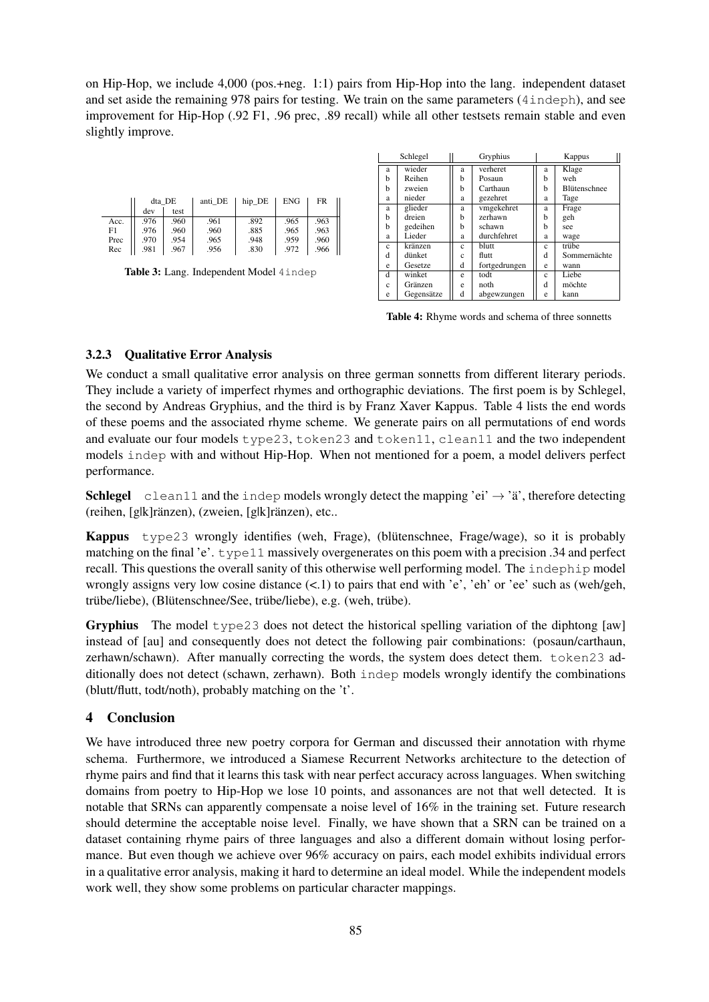on Hip-Hop, we include 4,000 (pos.+neg. 1:1) pairs from Hip-Hop into the lang. independent dataset and set aside the remaining 978 pairs for testing. We train on the same parameters (4indeph), and see improvement for Hip-Hop (.92 F1, .96 prec, .89 recall) while all other testsets remain stable and even slightly improve.

|      | dta DE |      | anti DE | hip DE | ENG  | FR   |
|------|--------|------|---------|--------|------|------|
|      | dev    | test |         |        |      |      |
| Acc. | .976   | .960 | .961    | .892   | .965 | .963 |
| F1   | .976   | .960 | .960    | .885   | .965 | .963 |
| Prec | .970   | .954 | .965    | .948   | .959 | .960 |
| Rec  | .981   | .967 | .956    | .830   | .972 | .966 |

|  |  | Table 3: Lang. Independent Model 4indep |  |
|--|--|-----------------------------------------|--|
|--|--|-----------------------------------------|--|

| Schlegel    |            | Gryphius   |               | Kappus     |                     |  |
|-------------|------------|------------|---------------|------------|---------------------|--|
| a           | wieder     | a          | verheret      | a          | Klage               |  |
| h           | Reihen     | b          | Posaun        | h          | weh                 |  |
| h           | zweien     | h          | Carthaun      | h          | <b>Blütenschnee</b> |  |
| a           | nieder     | a          | gezehret      | a          | Tage                |  |
| a           | glieder    | a          | vmgekehret    | a          | Frage               |  |
| h           | dreien     | h          | zerhawn       | h          | geh                 |  |
| h           | gedeihen   | h          | schawn        | h          | see                 |  |
| a           | Lieder     | a          | durchfehret   | a          | wage                |  |
| $\mathbf c$ | kränzen    | Ċ          | blutt         | $\ddot{c}$ | triibe              |  |
| d           | dünket     | $\ddot{c}$ | flutt         | d          | Sommernächte        |  |
| e           | Gesetze    | d          | fortgedrungen | e          | wann                |  |
| d           | winket     | e          | todt          | c          | Liebe               |  |
| Ċ           | Gränzen    | e          | noth          | d          | möchte              |  |
| e           | Gegensätze | d          | abgewzungen   | e          | kann                |  |

Table 4: Rhyme words and schema of three sonnetts

### 3.2.3 Qualitative Error Analysis

We conduct a small qualitative error analysis on three german sonnetts from different literary periods. They include a variety of imperfect rhymes and orthographic deviations. The first poem is by Schlegel, the second by Andreas Gryphius, and the third is by Franz Xaver Kappus. Table 4 lists the end words of these poems and the associated rhyme scheme. We generate pairs on all permutations of end words and evaluate our four models type23, token23 and token11, clean11 and the two independent models indep with and without Hip-Hop. When not mentioned for a poem, a model delivers perfect performance.

**Schlegel** clean11 and the indep models wrongly detect the mapping 'ei'  $\rightarrow$  'ä', therefore detecting (reihen, [g|k]ränzen), (zweien, [g|k]ränzen), etc..

Kappus type23 wrongly identifies (weh, Frage), (blütenschnee, Frage/wage), so it is probably matching on the final 'e'. type11 massively overgenerates on this poem with a precision .34 and perfect recall. This questions the overall sanity of this otherwise well performing model. The indephip model wrongly assigns very low cosine distance  $(\leq 1)$  to pairs that end with 'e', 'eh' or 'ee' such as (weh/geh, trübe/liebe), (Blütenschnee/See, trübe/liebe), e.g. (weh, trübe).

Gryphius The model type23 does not detect the historical spelling variation of the diphtong [aw] instead of [au] and consequently does not detect the following pair combinations: (posaun/carthaun, zerhawn/schawn). After manually correcting the words, the system does detect them. token23 additionally does not detect (schawn, zerhawn). Both indep models wrongly identify the combinations (blutt/flutt, todt/noth), probably matching on the 't'.

## 4 Conclusion

We have introduced three new poetry corpora for German and discussed their annotation with rhyme schema. Furthermore, we introduced a Siamese Recurrent Networks architecture to the detection of rhyme pairs and find that it learns this task with near perfect accuracy across languages. When switching domains from poetry to Hip-Hop we lose 10 points, and assonances are not that well detected. It is notable that SRNs can apparently compensate a noise level of 16% in the training set. Future research should determine the acceptable noise level. Finally, we have shown that a SRN can be trained on a dataset containing rhyme pairs of three languages and also a different domain without losing performance. But even though we achieve over 96% accuracy on pairs, each model exhibits individual errors in a qualitative error analysis, making it hard to determine an ideal model. While the independent models work well, they show some problems on particular character mappings.